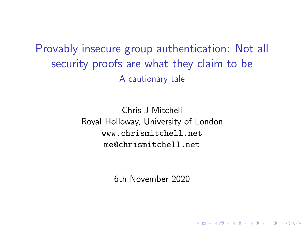<span id="page-0-0"></span>Provably insecure group authentication: Not all security proofs are what they claim to be A cautionary tale

> Chris J Mitchell Royal Holloway, University of London <www.chrismitchell.net> me@chrismitchell.net

> > 6th November 2020

**KORKARYKERKER POLO**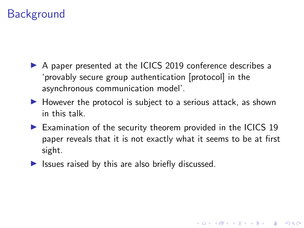# <span id="page-1-0"></span>**Background**

- ▶ A paper presented at the ICICS 2019 conference describes a 'provably secure group authentication [protocol] in the asynchronous communication model'.
- $\blacktriangleright$  However the protocol is subject to a serious attack, as shown in this talk.
- $\blacktriangleright$  Examination of the security theorem provided in the ICICS 19 paper reveals that it is not exactly what it seems to be at first sight.

 $\blacktriangleright$  Issues raised by this are also briefly discussed.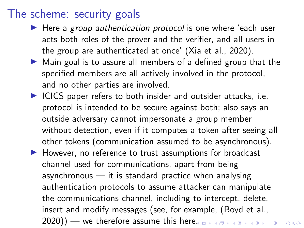#### The scheme: security goals

- $\blacktriangleright$  Here a group authentication protocol is one where 'each user acts both roles of the prover and the verifier, and all users in the group are authenticated at once' (Xia et al., 2020).
- $\triangleright$  Main goal is to assure all members of a defined group that the specified members are all actively involved in the protocol, and no other parties are involved.
- $\blacktriangleright$  ICICS paper refers to both insider and outsider attacks, i.e. protocol is intended to be secure against both; also says an outside adversary cannot impersonate a group member without detection, even if it computes a token after seeing all other tokens (communication assumed to be asynchronous).
- $\blacktriangleright$  However, no reference to trust assumptions for broadcast channel used for communications, apart from being asynchronous  $-$  it is standard practice when analysing authentication protocols to assume attacker can manipulate the communications channel, including to intercept, delete, insert and modify messages (see, for example, (Boyd et al., 2020)) — we therefore assume this her[e.](#page-1-0) **Example 2020**) — we therefore assume this here. **Example 2020**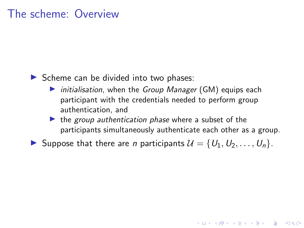#### The scheme: Overview

#### $\triangleright$  Scheme can be divided into two phases:

- $\triangleright$  initialisation, when the Group Manager (GM) equips each participant with the credentials needed to perform group authentication, and
- $\blacktriangleright$  the group authentication phase where a subset of the participants simultaneously authenticate each other as a group.

**KORKAR KERKER SAGA** 

Suppose that there are *n* participants  $\mathcal{U} = \{U_1, U_2, \ldots, U_n\}$ .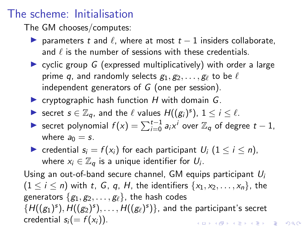#### The scheme: Initialisation

The GM chooses/computes:

- $\triangleright$  parameters t and  $\ell$ , where at most  $t 1$  insiders collaborate, and  $\ell$  is the number of sessions with these credentials.
- $\triangleright$  cyclic group G (expressed multiplicatively) with order a large prime q, and randomly selects  $g_1, g_2, \ldots, g_\ell$  to be  $\ell$ independent generators of  $G$  (one per session).
- $\triangleright$  cryptographic hash function H with domain G.
- Secret  $s \in \mathbb{Z}_q$ , and the  $\ell$  values  $H((g_i)^s)$ ,  $1 \le i \le \ell$ .
- ► secret polynomial  $f(x) = \sum_{i=0}^{t-1} a_i x^i$  over  $\mathbb{Z}_q$  of degree  $t-1$ , where  $a_0 = s$ .
- redential  $s_i = f(x_i)$  for each participant  $U_i$   $(1 \le i \le n)$ , where  $x_i \in \mathbb{Z}_q$  is a unique identifier for  $U_i$ .

Using an out-of-band secure channel, GM equips participant  $U_i$  $(1 \leq i \leq n)$  with t, G, q, H, the identifiers  $\{x_1, x_2, \ldots, x_n\}$ , the generators  $\{g_1, g_2, \ldots, g_\ell\}$ , the hash codes  $\{H((g_1)^s),H((g_2)^s),\ldots,H((g_\ell)^s)\}$ , and the participant's secret credential  $s_i(= f(x_i))$ . **KORKAR KERKER SAGA**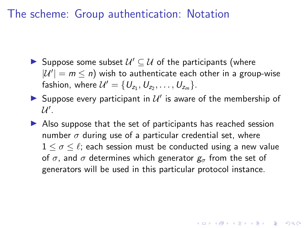#### <span id="page-5-0"></span>The scheme: Group authentication: Notation

- Suppose some subset  $\mathcal{U}' \subseteq \mathcal{U}$  of the participants (where  $|U'| = m \le n$ ) wish to authenticate each other in a group-wise fashion, where  $\mathcal{U}' = \{U_{z_1}, U_{z_2}, \ldots, U_{z_m}\}.$
- Suppose every participant in  $\mathcal{U}'$  is aware of the membership of  $\mathcal{U}^{\prime}.$
- $\triangleright$  Also suppose that the set of participants has reached session number  $\sigma$  during use of a particular credential set, where  $1 \leq \sigma \leq \ell$ ; each session must be conducted using a new value of  $\sigma$ , and  $\sigma$  determines which generator  $g_{\sigma}$  from the set of generators will be used in this particular protocol instance.

YO A 4 4 4 4 5 A 4 5 A 4 D + 4 D + 4 D + 4 D + 4 D + 4 D + + E + + D + + E + + O + O + + + + + + + +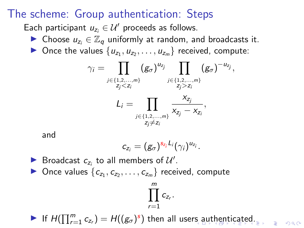#### <span id="page-6-0"></span>The scheme: Group authentication: Steps

Each participant  $u_{z_i} \in \mathcal{U}'$  proceeds as follows.

- ► Choose  $u_{z_i} \in \mathbb{Z}_q$  uniformly at random, and broadcasts it.
- Once the values  $\{u_{z_1}, u_{z_2}, \ldots, u_{z_m}\}$  received, compute:

$$
\gamma_i = \prod_{\substack{j \in \{1, 2, ..., m\} \\ z_j < z_i}} (g_{\sigma})^{u_{z_j}} \prod_{\substack{j \in \{1, 2, ..., m\} \\ z_j > z_i}} (g_{\sigma})^{-u_{z_j}},
$$
\n
$$
L_i = \prod_{\substack{j \in \{1, 2, ..., m\} \\ z_j \neq z_i}} \frac{x_{z_j}}{x_{z_j} - x_{z_i}},
$$

and

$$
c_{z_i}=(g_{\sigma})^{s_{z_i}L_i}(\gamma_i)^{u_{z_i}}.
$$

Broadcast  $c_{z_i}$  to all members of  $\mathcal{U}'$ . **Once values**  $\{c_{z_1}, c_{z_2}, \ldots, c_{z_m}\}$  received, compute

$$
\prod_{r=1}^m c_{z_r}
$$

.

 $000$ 

If  $H(\prod_{r=1}^m c_{z_r}) = H((g_{\sigma})^s)$  then all use[rs a](#page-5-0)[ut](#page-7-0)[h](#page-5-0)[en](#page-6-0)[t](#page-7-0)[ica](#page-0-0)[te](#page-18-0)[d.](#page-0-0)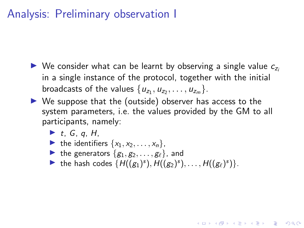# <span id="page-7-0"></span>Analysis: Preliminary observation I

- $\triangleright$  We consider what can be learnt by observing a single value  $c_{z_i}$ in a single instance of the protocol, together with the initial broadcasts of the values  $\{u_{z_1}, u_{z_2}, \ldots, u_{z_m}\}.$
- $\triangleright$  We suppose that the (outside) observer has access to the system parameters, i.e. the values provided by the GM to all participants, namely:
	- $\blacktriangleright$  t, G, q, H,
	- In the identifiers  $\{x_1, x_2, \ldots, x_n\}$ ,
	- In the generators  $\{g_1, g_2, \ldots, g_\ell\}$ , and
	- the hash codes  $\{H((g_1)^s), H((g_2)^s), \ldots, H((g_\ell)^s)\}.$

**KORKAR KERKER SAGA**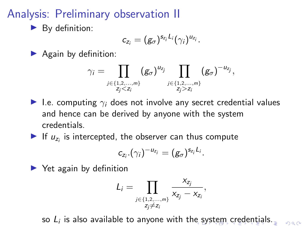# <span id="page-8-0"></span>Analysis: Preliminary observation II

 $\blacktriangleright$  By definition:

$$
c_{z_i}=(g_{\sigma})^{s_{z_i}L_i}(\gamma_i)^{u_{z_i}}.
$$

 $\blacktriangleright$  Again by definition:

$$
\gamma_i = \prod_{\substack{j \in \{1, 2, ..., m\} \\ Z_j < Z_i}} (g_{\sigma})^{u_{Z_j}} \prod_{\substack{j \in \{1, 2, ..., m\} \\ Z_j > Z_i}} (g_{\sigma})^{-u_{Z_j}},
$$

- I.e. computing  $\gamma_i$  does not involve any secret credential values and hence can be derived by anyone with the system credentials.
- If  $u_{z_i}$  is intercepted, the observer can thus compute

$$
c_{z_i}.(\gamma_i)^{-u_{z_i}}=(g_{\sigma})^{s_{z_i}L_i}.
$$

 $\blacktriangleright$  Yet again by definition

$$
L_i = \prod_{\substack{j \in \{1,2,\dots,m\} \\ z_j \neq z_i}} \frac{x_{z_j}}{x_{z_j} - x_{z_i}},
$$

so $L_i$  is also available to anyone with th[e s](#page-7-0)[ys](#page-9-0)[te](#page-7-0)[m](#page-8-0) [cre](#page-0-0)[de](#page-18-0)[nt](#page-0-0)[ial](#page-18-0)[s.](#page-0-0)

 $000$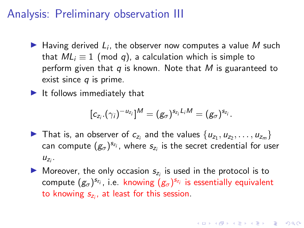## <span id="page-9-0"></span>Analysis: Preliminary observation III

- Having derived  $L_i$ , the observer now computes a value M such that  $ML_i \equiv 1 \pmod{q}$ , a calculation which is simple to perform given that q is known. Note that M is guaranteed to exist since  $q$  is prime.
- $\blacktriangleright$  It follows immediately that

$$
[c_{z_i}.(\gamma_i)^{-u_{z_i}}]^M = (g_{\sigma})^{s_{z_i}L_iM} = (g_{\sigma})^{s_{z_i}}.
$$

- In That is, an observer of  $c_{z_i}$  and the values  $\{u_{z_1}, u_{z_2}, \ldots, u_{z_m}\}$ can compute  $(g_{\sigma})^{s_{z_i}}$ , where  $s_{z_i}$  is the secret credential for user  $u_{z_i}$ .
- Moreover, the only occasion  $s_{z_i}$  is used in the protocol is to compute  $(g_{\sigma})^{s_{z_i}}$ , i.e. knowing  $(g_{\sigma})^{s_{z_i}}$  is essentially equivalent to knowing  $s_{z_i}$ , at least for this session.

**KORK EXTERNE PROVIDE**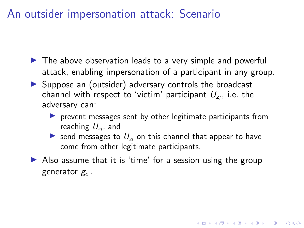## An outsider impersonation attack: Scenario

- $\blacktriangleright$  The above observation leads to a very simple and powerful attack, enabling impersonation of a participant in any group.
- $\triangleright$  Suppose an (outsider) adversary controls the broadcast channel with respect to 'victim' participant  $U_{z_i}$ , i.e. the adversary can:
	- $\triangleright$  prevent messages sent by other legitimate participants from reaching  $U_{z_i}$ , and
	- So send messages to  $U_{z_i}$  on this channel that appear to have come from other legitimate participants.

4 0 > 4 4 + 4 = + 4 = + = + + 0 4 0 +

 $\triangleright$  Also assume that it is 'time' for a session using the group generator  $g_{\sigma}$ .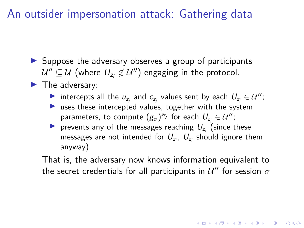An outsider impersonation attack: Gathering data

- $\triangleright$  Suppose the adversary observes a group of participants  $\mathcal{U}''\subseteq\mathcal{U}$  (where  $\mathit{U}_{z_{i}}\not\in\mathcal{U}''$ ) engaging in the protocol.
- $\blacktriangleright$  The adversary:
	- intercepts all the  $u_{z_j}$  and  $c_{z_j}$  values sent by each  $U_{z_j} \in \mathcal{U}''$ ;
	- $\blacktriangleright$  uses these intercepted values, together with the system parameters, to compute  $(g_{\sigma})^{s_{z_j}}$  for each  $U_{z_j} \in \mathcal{U}'$ ;
	- revents any of the messages reaching  $U_{z_i}$  (since these messages are not intended for  $U_{z_i}$ ,  $U_{z_i}$  should ignore them anyway).

That is, the adversary now knows information equivalent to the secret credentials for all participants in  $\mathcal{U}''$  for session  $\sigma$ 

4 0 > 4 4 + 4 = + 4 = + = + + 0 4 0 +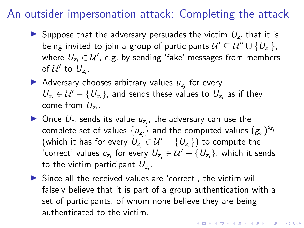#### An outsider impersonation attack: Completing the attack

- Suppose that the adversary persuades the victim  $U_{z_i}$  that it is being invited to join a group of participants  $\mathcal{U}' \subseteq \mathcal{U}'' \cup \{ \mathit{U_{z_i}} \},$ where  $\mathit{U}_{z_i} \in \mathcal{U}'$ , e.g. by sending 'fake' messages from members of  $\mathcal{U}'$  to  $U_{z_i}$ .
- Adversary chooses arbitrary values  $u_{z_j}$  for every  $U_{z_j} \in \mathcal{U}' - \{U_{z_i}\}\$ , and sends these values to  $U_{z_i}$  as if they come from  $\mathit{U}_{z_j}.$
- $\blacktriangleright$  Once  $U_{z_i}$  sends its value  $u_{z_i}$ , the adversary can use the complete set of values  $\{u_{z_j}\}$  and the computed values  $\left(g_\sigma\right)^{s_{z_j}}$ (which it has for every  $\mathcal{U}_{z_j} \in \mathcal{U}' - \{U_{z_j}\}$ ) to compute the 'correct' values  $c_{z_j}$  for every  $U_{z_j} \in \mathcal{U}' - \{U_{z_i}\}$ , which it sends to the victim participant  $U_{z_i}$ .
- $\triangleright$  Since all the received values are 'correct', the victim will falsely believe that it is part of a group authentication with a set of participants, of whom none believe they are being authenticated to the victim.

KID KA KERKER KID KO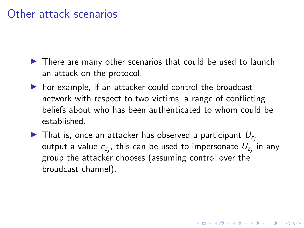#### Other attack scenarios

- $\blacktriangleright$  There are many other scenarios that could be used to launch an attack on the protocol.
- $\blacktriangleright$  For example, if an attacker could control the broadcast network with respect to two victims, a range of conflicting beliefs about who has been authenticated to whom could be established.
- $\blacktriangleright$  That is, once an attacker has observed a participant  $U_{z_i}$ output a value  $c_{z_j}$ , this can be used to impersonate  $U_{z_j}$  in any group the attacker chooses (assuming control over the broadcast channel).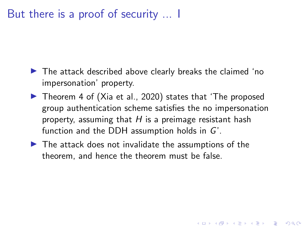# But there is a proof of security ... I

- $\blacktriangleright$  The attack described above clearly breaks the claimed 'no impersonation' property.
- ▶ Theorem 4 of (Xia et al., 2020) states that 'The proposed group authentication scheme satisfies the no impersonation property, assuming that  $H$  is a preimage resistant hash function and the DDH assumption holds in G'.

4 0 > 4 4 + 4 = + 4 = + = + + 0 4 0 +

 $\blacktriangleright$  The attack does not invalidate the assumptions of the theorem, and hence the theorem must be false.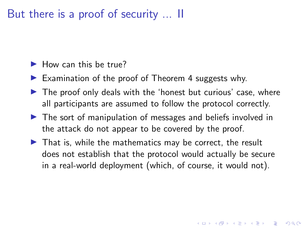## But there is a proof of security ... II

- $\blacktriangleright$  How can this be true?
- Examination of the proof of Theorem 4 suggests why.
- $\triangleright$  The proof only deals with the 'honest but curious' case, where all participants are assumed to follow the protocol correctly.
- $\triangleright$  The sort of manipulation of messages and beliefs involved in the attack do not appear to be covered by the proof.
- $\blacktriangleright$  That is, while the mathematics may be correct, the result does not establish that the protocol would actually be secure in a real-world deployment (which, of course, it would not).

4 0 > 4 4 + 4 = + 4 = + = + + 0 4 0 +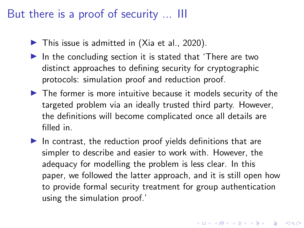## But there is a proof of security ... III

- $\blacktriangleright$  This issue is admitted in (Xia et al., 2020).
- $\blacktriangleright$  In the concluding section it is stated that 'There are two distinct approaches to defining security for cryptographic protocols: simulation proof and reduction proof.
- $\blacktriangleright$  The former is more intuitive because it models security of the targeted problem via an ideally trusted third party. However, the definitions will become complicated once all details are filled in.
- $\blacktriangleright$  In contrast, the reduction proof yields definitions that are simpler to describe and easier to work with. However, the adequacy for modelling the problem is less clear. In this paper, we followed the latter approach, and it is still open how to provide formal security treatment for group authentication using the simulation proof.'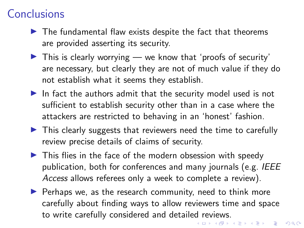# **Conclusions**

- $\blacktriangleright$  The fundamental flaw exists despite the fact that theorems are provided asserting its security.
- $\triangleright$  This is clearly worrying we know that 'proofs of security' are necessary, but clearly they are not of much value if they do not establish what it seems they establish.
- In fact the authors admit that the security model used is not sufficient to establish security other than in a case where the attackers are restricted to behaving in an 'honest' fashion.
- $\triangleright$  This clearly suggests that reviewers need the time to carefully review precise details of claims of security.
- $\blacktriangleright$  This flies in the face of the modern obsession with speedy publication, both for conferences and many journals (e.g. IEEE Access allows referees only a week to complete a review).
- $\blacktriangleright$  Perhaps we, as the research community, need to think more carefully about finding ways to allow reviewers time and space to write carefully considered and detailed reviews.<br>The settle research of the settle research of the settle research of the settle research of the settle research